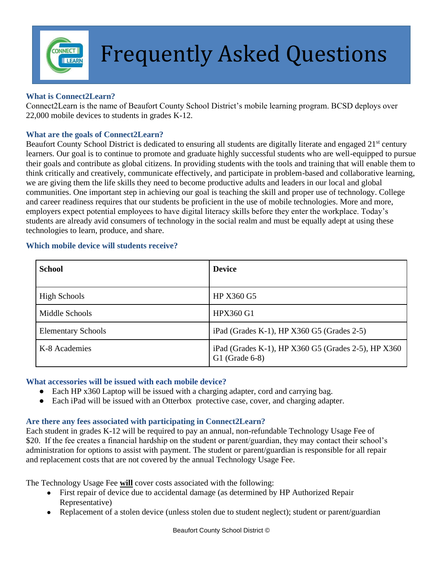

# **FREQUENTLY Asked Questions**

# **What is Connect2Learn?**

Connect2Learn is the name of Beaufort County School District's mobile learning program. BCSD deploys over 22,000 mobile devices to students in grades K-12.

# **What are the goals of Connect2Learn?**

Beaufort County School District is dedicated to ensuring all students are digitally literate and engaged 21<sup>st</sup> century learners. Our goal is to continue to promote and graduate highly successful students who are well-equipped to pursue their goals and contribute as global citizens. In providing students with the tools and training that will enable them to think critically and creatively, communicate effectively, and participate in problem-based and collaborative learning, we are giving them the life skills they need to become productive adults and leaders in our local and global communities. One important step in achieving our goal is teaching the skill and proper use of technology. College and career readiness requires that our students be proficient in the use of mobile technologies. More and more, employers expect potential employees to have digital literacy skills before they enter the workplace. Today's students are already avid consumers of technology in the social realm and must be equally adept at using these technologies to learn, produce, and share.

#### **Which mobile device will students receive?**

| <b>School</b>             | <b>Device</b>                                                           |
|---------------------------|-------------------------------------------------------------------------|
| <b>High Schools</b>       | HP X360 G5                                                              |
| Middle Schools            | <b>HPX360 G1</b>                                                        |
| <b>Elementary Schools</b> | iPad (Grades K-1), HP X360 G5 (Grades 2-5)                              |
| K-8 Academies             | iPad (Grades K-1), HP X360 G5 (Grades 2-5), HP X360<br>$G1$ (Grade 6-8) |

#### **What accessories will be issued with each mobile device?**

- Each HP x360 Laptop will be issued with a charging adapter, cord and carrying bag.
- Each iPad will be issued with an Otterbox protective case, cover, and charging adapter.

# **Are there any fees associated with participating in Connect2Learn?**

Each student in grades K-12 will be required to pay an annual, non-refundable Technology Usage Fee of \$20. If the fee creates a financial hardship on the student or parent/guardian, they may contact their school's administration for options to assist with payment. The student or parent/guardian is responsible for all repair and replacement costs that are not covered by the annual Technology Usage Fee.

The Technology Usage Fee **will** cover costs associated with the following:

- First repair of device due to accidental damage (as determined by HP Authorized Repair Representative)
- Replacement of a stolen device (unless stolen due to student neglect); student or parent/guardian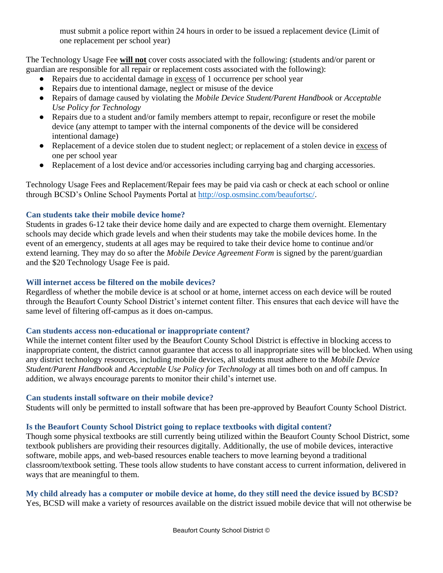must submit a police report within 24 hours in order to be issued a replacement device (Limit of one replacement per school year)

The Technology Usage Fee **will not** cover costs associated with the following: (students and/or parent or guardian are responsible for all repair or replacement costs associated with the following):

- Repairs due to accidental damage in excess of 1 occurrence per school year
- Repairs due to intentional damage, neglect or misuse of the device
- Repairs of damage caused by violating the *Mobile Device Student/Parent Handbook* or *Acceptable Use Policy for Technology*
- Repairs due to a student and/or family members attempt to repair, reconfigure or reset the mobile device (any attempt to tamper with the internal components of the device will be considered intentional damage)
- Replacement of a device stolen due to student neglect; or replacement of a stolen device in excess of one per school year
- Replacement of a lost device and/or accessories including carrying bag and charging accessories.

Technology Usage Fees and Replacement/Repair fees may be paid via cash or check at each school or online through BCSD's Online School Payments Portal at<http://osp.osmsinc.com/beaufortsc/>.

# **Can students take their mobile device home?**

Students in grades 6-12 take their device home daily and are expected to charge them overnight. Elementary schools may decide which grade levels and when their students may take the mobile devices home. In the event of an emergency, students at all ages may be required to take their device home to continue and/or extend learning. They may do so after the *Mobile Device Agreement Form* is signed by the parent/guardian and the \$20 Technology Usage Fee is paid.

# **Will internet access be filtered on the mobile devices?**

Regardless of whether the mobile device is at school or at home, internet access on each device will be routed through the Beaufort County School District's internet content filter. This ensures that each device will have the same level of filtering off-campus as it does on-campus.

# **Can students access non-educational or inappropriate content?**

While the internet content filter used by the Beaufort County School District is effective in blocking access to inappropriate content, the district cannot guarantee that access to all inappropriate sites will be blocked. When using any district technology resources, including mobile devices, all students must adhere to the *Mobile Device Student/Parent Handbook* and *Acceptable Use Policy for Technology* at all times both on and off campus. In addition, we always encourage parents to monitor their child's internet use.

# **Can students install software on their mobile device?**

Students will only be permitted to install software that has been pre-approved by Beaufort County School District.

# **Is the Beaufort County School District going to replace textbooks with digital content?**

Though some physical textbooks are still currently being utilized within the Beaufort County School District, some textbook publishers are providing their resources digitally. Additionally, the use of mobile devices, interactive software, mobile apps, and web-based resources enable teachers to move learning beyond a traditional classroom/textbook setting. These tools allow students to have constant access to current information, delivered in ways that are meaningful to them.

**My child already has a computer or mobile device at home, do they still need the device issued by BCSD?** Yes, BCSD will make a variety of resources available on the district issued mobile device that will not otherwise be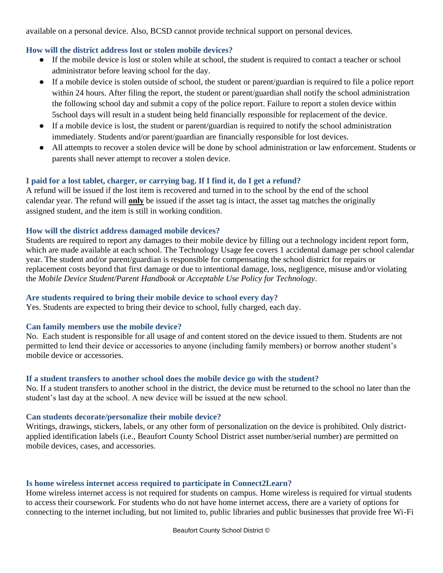available on a personal device. Also, BCSD cannot provide technical support on personal devices.

# **How will the district address lost or stolen mobile devices?**

- If the mobile device is lost or stolen while at school, the student is required to contact a teacher or school administrator before leaving school for the day.
- If a mobile device is stolen outside of school, the student or parent/guardian is required to file a police report within 24 hours. After filing the report, the student or parent/guardian shall notify the school administration the following school day and submit a copy of the police report. Failure to report a stolen device within 5school days will result in a student being held financially responsible for replacement of the device.
- If a mobile device is lost, the student or parent/guardian is required to notify the school administration immediately. Students and/or parent/guardian are financially responsible for lost devices.
- All attempts to recover a stolen device will be done by school administration or law enforcement. Students or parents shall never attempt to recover a stolen device.

#### **I paid for a lost tablet, charger, or carrying bag. If I find it, do I get a refund?**

A refund will be issued if the lost item is recovered and turned in to the school by the end of the school calendar year. The refund will **only** be issued if the asset tag is intact, the asset tag matches the originally assigned student, and the item is still in working condition.

#### **How will the district address damaged mobile devices?**

Students are required to report any damages to their mobile device by filling out a technology incident report form, which are made available at each school. The Technology Usage fee covers 1 accidental damage per school calendar year. The student and/or parent/guardian is responsible for compensating the school district for repairs or replacement costs beyond that first damage or due to intentional damage, loss, negligence, misuse and/or violating the *Mobile Device Student/Parent Handbook* or *Acceptable Use Policy for Technology*.

# **Are students required to bring their mobile device to school every day?**

Yes. Students are expected to bring their device to school, fully charged, each day.

#### **Can family members use the mobile device?**

No. Each student is responsible for all usage of and content stored on the device issued to them. Students are not permitted to lend their device or accessories to anyone (including family members) or borrow another student's mobile device or accessories.

# **If a student transfers to another school does the mobile device go with the student?**

No. If a student transfers to another school in the district, the device must be returned to the school no later than the student's last day at the school. A new device will be issued at the new school.

#### **Can students decorate/personalize their mobile device?**

Writings, drawings, stickers, labels, or any other form of personalization on the device is prohibited. Only districtapplied identification labels (i.e., Beaufort County School District asset number/serial number) are permitted on mobile devices, cases, and accessories.

# **Is home wireless internet access required to participate in Connect2Learn?**

Home wireless internet access is not required for students on campus. Home wireless is required for virtual students to access their coursework. For students who do not have home internet access, there are a variety of options for connecting to the internet including, but not limited to, public libraries and public businesses that provide free Wi-Fi